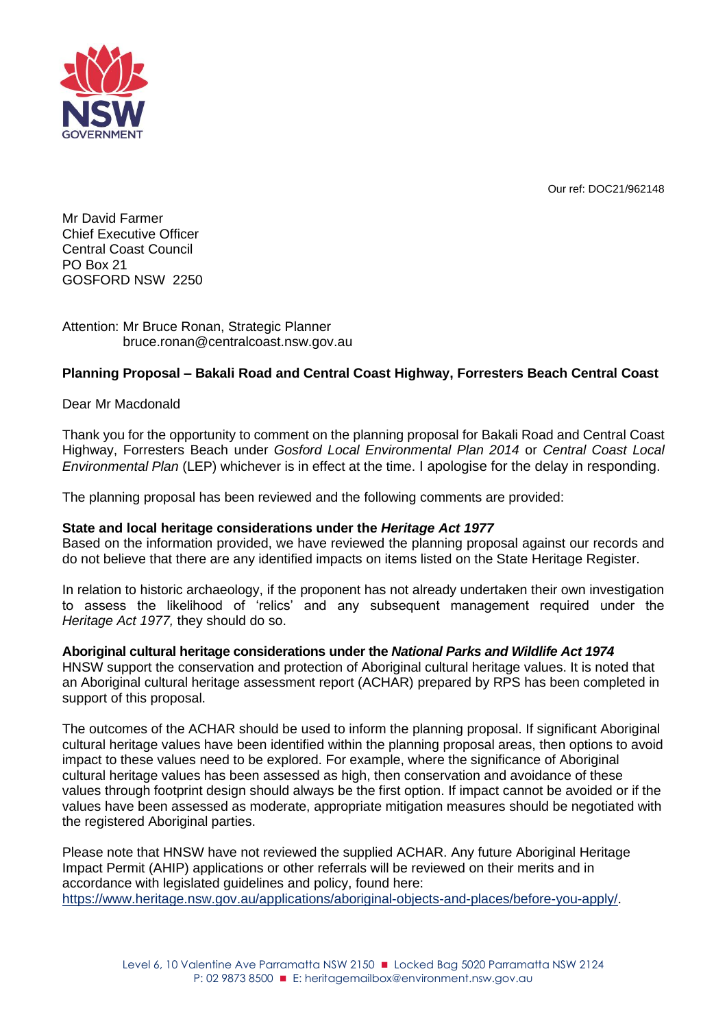Our ref: DOC21/962148



Mr David Farmer Chief Executive Officer Central Coast Council PO Box 21 GOSFORD NSW 2250

## Attention: Mr Bruce Ronan, Strategic Planner bruce.ronan@centralcoast.nsw.gov.au

# **Planning Proposal – Bakali Road and Central Coast Highway, Forresters Beach Central Coast**

# Dear Mr Macdonald

Thank you for the opportunity to comment on the planning proposal for Bakali Road and Central Coast Highway, Forresters Beach under *Gosford Local Environmental Plan 2014* or *Central Coast Local Environmental Plan* (LEP) whichever is in effect at the time. I apologise for the delay in responding.

The planning proposal has been reviewed and the following comments are provided:

### **State and local heritage considerations under the** *Heritage Act 1977*

Based on the information provided, we have reviewed the planning proposal against our records and do not believe that there are any identified impacts on items listed on the State Heritage Register.

In relation to historic archaeology, if the proponent has not already undertaken their own investigation to assess the likelihood of 'relics' and any subsequent management required under the *Heritage Act 1977,* they should do so.

### **Aboriginal cultural heritage considerations under the** *National Parks and Wildlife Act 1974*

HNSW support the conservation and protection of Aboriginal cultural heritage values. It is noted that an Aboriginal cultural heritage assessment report (ACHAR) prepared by RPS has been completed in support of this proposal.

The outcomes of the ACHAR should be used to inform the planning proposal. If significant Aboriginal cultural heritage values have been identified within the planning proposal areas, then options to avoid impact to these values need to be explored. For example, where the significance of Aboriginal cultural heritage values has been assessed as high, then conservation and avoidance of these values through footprint design should always be the first option. If impact cannot be avoided or if the values have been assessed as moderate, appropriate mitigation measures should be negotiated with the registered Aboriginal parties.

Please note that HNSW have not reviewed the supplied ACHAR. Any future Aboriginal Heritage Impact Permit (AHIP) applications or other referrals will be reviewed on their merits and in accordance with legislated guidelines and policy, found here: [https://www.heritage.nsw.gov.au/applications/aboriginal-objects-and-places/before-you-apply/.](https://www.heritage.nsw.gov.au/applications/aboriginal-objects-and-places/before-you-apply/)